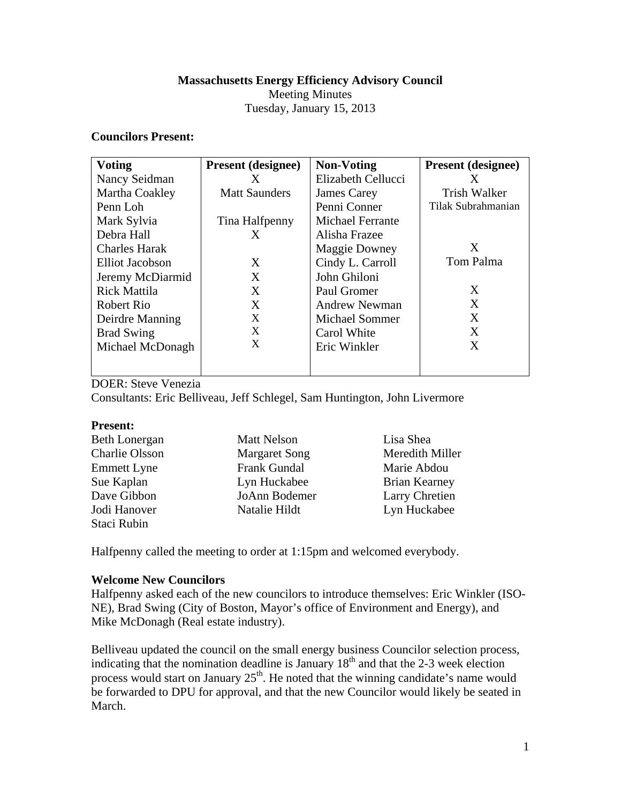## **Massachusetts Energy Efficiency Advisory Council**

Meeting Minutes

Tuesday, January 15, 2013

## **Councilors Present:**

| <b>Voting</b>        | <b>Present</b> (designee) | <b>Non-Voting</b>       | <b>Present (designee)</b> |
|----------------------|---------------------------|-------------------------|---------------------------|
| Nancy Seidman        | X                         | Elizabeth Cellucci      | X                         |
| Martha Coakley       | <b>Matt Saunders</b>      | James Carey             | Trish Walker              |
| Penn Loh             |                           | Penni Conner            | Tilak Subrahmanian        |
| Mark Sylvia          | Tina Halfpenny            | <b>Michael Ferrante</b> |                           |
| Debra Hall           | X                         | Alisha Frazee           |                           |
| <b>Charles Harak</b> |                           | <b>Maggie Downey</b>    | X                         |
| Elliot Jacobson      | X                         | Cindy L. Carroll        | Tom Palma                 |
| Jeremy McDiarmid     | X                         | John Ghiloni            |                           |
| <b>Rick Mattila</b>  | X                         | Paul Gromer             | X                         |
| Robert Rio           | X                         | Andrew Newman           | X                         |
| Deirdre Manning      | X                         | <b>Michael Sommer</b>   | X                         |
| <b>Brad Swing</b>    | X                         | Carol White             | X                         |
| Michael McDonagh     | X                         | Eric Winkler            | X                         |
|                      |                           |                         |                           |

DOER: Steve Venezia

Consultants: Eric Belliveau, Jeff Schlegel, Sam Huntington, John Livermore

## **Present:**

| <b>Beth Lonergan</b> | <b>Matt Nelson</b>   | Lisa Shea            |
|----------------------|----------------------|----------------------|
| Charlie Olsson       | <b>Margaret Song</b> | Meredith Miller      |
| <b>Emmett Lyne</b>   | <b>Frank Gundal</b>  | Marie Abdou          |
| Sue Kaplan           | Lyn Huckabee         | <b>Brian Kearney</b> |
| Dave Gibbon          | JoAnn Bodemer        | Larry Chretien       |
| Jodi Hanover         | Natalie Hildt        | Lyn Huckabee         |
| Staci Rubin          |                      |                      |

Halfpenny called the meeting to order at 1:15pm and welcomed everybody.

# **Welcome New Councilors**

Halfpenny asked each of the new councilors to introduce themselves: Eric Winkler (ISO-NE), Brad Swing (City of Boston, Mayor's office of Environment and Energy), and Mike McDonagh (Real estate industry).

Belliveau updated the council on the small energy business Councilor selection process, indicating that the nomination deadline is January  $18<sup>th</sup>$  and that the 2-3 week election process would start on January  $25<sup>th</sup>$ . He noted that the winning candidate's name would be forwarded to DPU for approval, and that the new Councilor would likely be seated in March.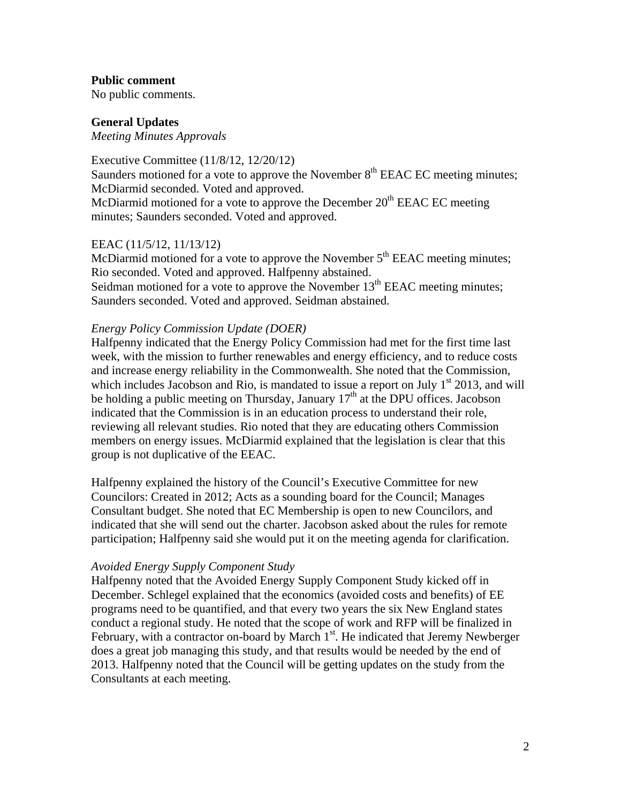### **Public comment**

No public comments.

### **General Updates**

*Meeting Minutes Approvals* 

Executive Committee (11/8/12, 12/20/12) Saunders motioned for a vote to approve the November  $8<sup>th</sup> EEAC EC$  meeting minutes; McDiarmid seconded. Voted and approved. McDiarmid motioned for a vote to approve the December  $20<sup>th</sup> EEAC EC$  meeting minutes; Saunders seconded. Voted and approved.

## EEAC (11/5/12, 11/13/12)

McDiarmid motioned for a vote to approve the November  $5<sup>th</sup> EEAC$  meeting minutes; Rio seconded. Voted and approved. Halfpenny abstained. Seidman motioned for a vote to approve the November  $13<sup>th</sup> EEAC$  meeting minutes; Saunders seconded. Voted and approved. Seidman abstained.

### *Energy Policy Commission Update (DOER)*

Halfpenny indicated that the Energy Policy Commission had met for the first time last week, with the mission to further renewables and energy efficiency, and to reduce costs and increase energy reliability in the Commonwealth. She noted that the Commission, which includes Jacobson and Rio, is mandated to issue a report on July  $1<sup>st</sup>$  2013, and will be holding a public meeting on Thursday, January 17<sup>th</sup> at the DPU offices. Jacobson indicated that the Commission is in an education process to understand their role, reviewing all relevant studies. Rio noted that they are educating others Commission members on energy issues. McDiarmid explained that the legislation is clear that this group is not duplicative of the EEAC.

Halfpenny explained the history of the Council's Executive Committee for new Councilors: Created in 2012; Acts as a sounding board for the Council; Manages Consultant budget. She noted that EC Membership is open to new Councilors, and indicated that she will send out the charter. Jacobson asked about the rules for remote participation; Halfpenny said she would put it on the meeting agenda for clarification.

#### *Avoided Energy Supply Component Study*

Halfpenny noted that the Avoided Energy Supply Component Study kicked off in December. Schlegel explained that the economics (avoided costs and benefits) of EE programs need to be quantified, and that every two years the six New England states conduct a regional study. He noted that the scope of work and RFP will be finalized in February, with a contractor on-board by March  $1<sup>st</sup>$ . He indicated that Jeremy Newberger does a great job managing this study, and that results would be needed by the end of 2013. Halfpenny noted that the Council will be getting updates on the study from the Consultants at each meeting.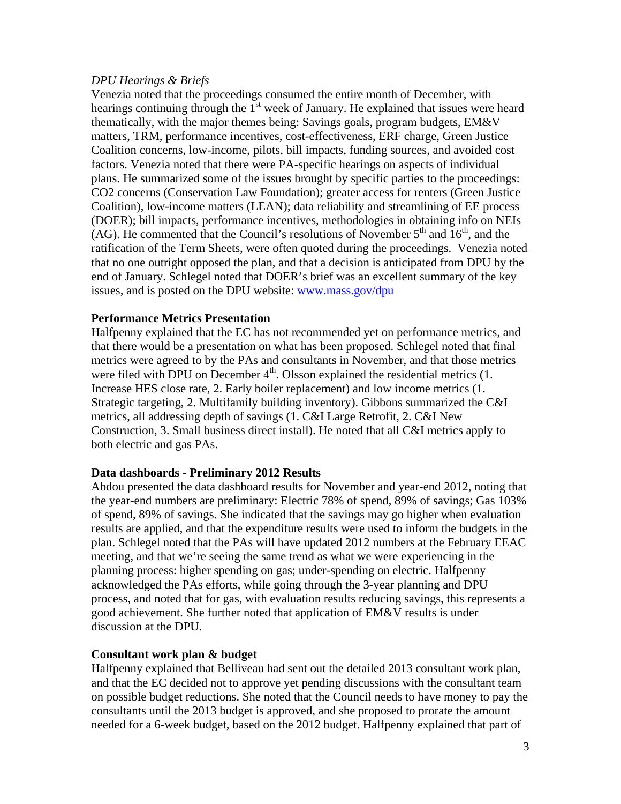## *DPU Hearings & Briefs*

Venezia noted that the proceedings consumed the entire month of December, with hearings continuing through the  $1<sup>st</sup>$  week of January. He explained that issues were heard thematically, with the major themes being: Savings goals, program budgets, EM&V matters, TRM, performance incentives, cost-effectiveness, ERF charge, Green Justice Coalition concerns, low-income, pilots, bill impacts, funding sources, and avoided cost factors. Venezia noted that there were PA-specific hearings on aspects of individual plans. He summarized some of the issues brought by specific parties to the proceedings: CO2 concerns (Conservation Law Foundation); greater access for renters (Green Justice Coalition), low-income matters (LEAN); data reliability and streamlining of EE process (DOER); bill impacts, performance incentives, methodologies in obtaining info on NEIs (AG). He commented that the Council's resolutions of November  $5<sup>th</sup>$  and  $16<sup>th</sup>$ , and the ratification of the Term Sheets, were often quoted during the proceedings. Venezia noted that no one outright opposed the plan, and that a decision is anticipated from DPU by the end of January. Schlegel noted that DOER's brief was an excellent summary of the key issues, and is posted on the DPU website: www.mass.gov/dpu

## **Performance Metrics Presentation**

Halfpenny explained that the EC has not recommended yet on performance metrics, and that there would be a presentation on what has been proposed. Schlegel noted that final metrics were agreed to by the PAs and consultants in November, and that those metrics were filed with DPU on December  $4<sup>th</sup>$ . Olsson explained the residential metrics (1. Increase HES close rate, 2. Early boiler replacement) and low income metrics (1. Strategic targeting, 2. Multifamily building inventory). Gibbons summarized the C&I metrics, all addressing depth of savings (1. C&I Large Retrofit, 2. C&I New Construction, 3. Small business direct install). He noted that all C&I metrics apply to both electric and gas PAs.

## **Data dashboards - Preliminary 2012 Results**

Abdou presented the data dashboard results for November and year-end 2012, noting that the year-end numbers are preliminary: Electric 78% of spend, 89% of savings; Gas 103% of spend, 89% of savings. She indicated that the savings may go higher when evaluation results are applied, and that the expenditure results were used to inform the budgets in the plan. Schlegel noted that the PAs will have updated 2012 numbers at the February EEAC meeting, and that we're seeing the same trend as what we were experiencing in the planning process: higher spending on gas; under-spending on electric. Halfpenny acknowledged the PAs efforts, while going through the 3-year planning and DPU process, and noted that for gas, with evaluation results reducing savings, this represents a good achievement. She further noted that application of EM&V results is under discussion at the DPU.

## **Consultant work plan & budget**

Halfpenny explained that Belliveau had sent out the detailed 2013 consultant work plan, and that the EC decided not to approve yet pending discussions with the consultant team on possible budget reductions. She noted that the Council needs to have money to pay the consultants until the 2013 budget is approved, and she proposed to prorate the amount needed for a 6-week budget, based on the 2012 budget. Halfpenny explained that part of